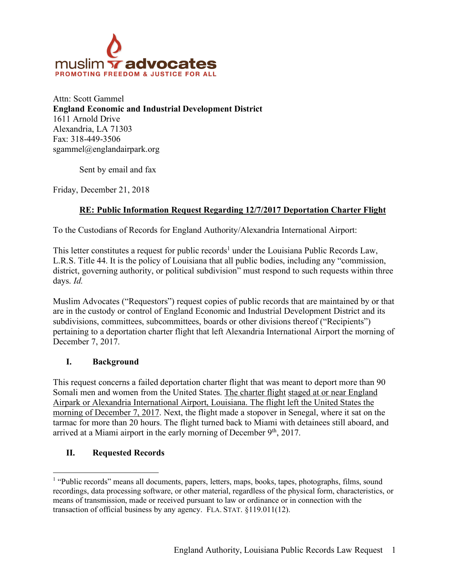

Attn: Scott Gammel **England Economic and Industrial Development District** 1611 Arnold Drive Alexandria, LA 71303 Fax: 318-449-3506 sgammel@englandairpark.org

Sent by email and fax

Friday, December 21, 2018

# **RE: Public Information Request Regarding 12/7/2017 Deportation Charter Flight**

To the Custodians of Records for England Authority/Alexandria International Airport:

This letter constitutes a request for public records<sup>1</sup> under the Louisiana Public Records Law, L.R.S. Title 44. It is the policy of Louisiana that all public bodies, including any "commission, district, governing authority, or political subdivision" must respond to such requests within three days. *Id.*

Muslim Advocates ("Requestors") request copies of public records that are maintained by or that are in the custody or control of England Economic and Industrial Development District and its subdivisions, committees, subcommittees, boards or other divisions thereof ("Recipients") pertaining to a deportation charter flight that left Alexandria International Airport the morning of December 7, 2017.

## **I. Background**

This request concerns a failed deportation charter flight that was meant to deport more than 90 Somali men and women from the United States. The charter flight staged at or near England Airpark or Alexandria International Airport, Louisiana. The flight left the United States the morning of December 7, 2017. Next, the flight made a stopover in Senegal, where it sat on the tarmac for more than 20 hours. The flight turned back to Miami with detainees still aboard, and arrived at a Miami airport in the early morning of December  $9<sup>th</sup>$ , 2017.

## **II. Requested Records**

<sup>&</sup>lt;sup>1</sup> "Public records" means all documents, papers, letters, maps, books, tapes, photographs, films, sound recordings, data processing software, or other material, regardless of the physical form, characteristics, or means of transmission, made or received pursuant to law or ordinance or in connection with the transaction of official business by any agency. FLA. STAT. §119.011(12).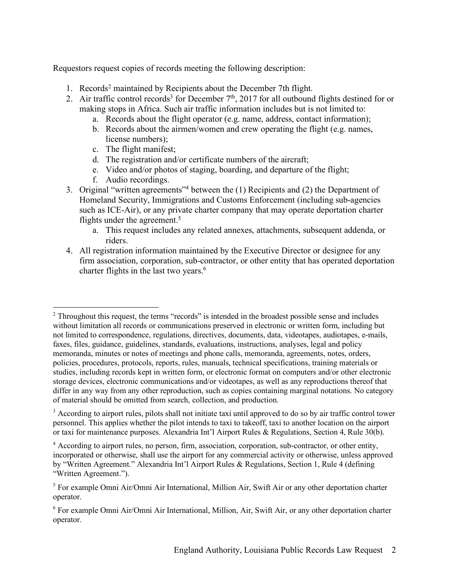Requestors request copies of records meeting the following description:

- 1. Records2 maintained by Recipients about the December 7th flight.
- 2. Air traffic control records<sup>3</sup> for December  $7<sup>th</sup>$ , 2017 for all outbound flights destined for or making stops in Africa. Such air traffic information includes but is not limited to:
	- a. Records about the flight operator (e.g. name, address, contact information);
	- b. Records about the airmen/women and crew operating the flight (e.g. names, license numbers);
	- c. The flight manifest;
	- d. The registration and/or certificate numbers of the aircraft;
	- e. Video and/or photos of staging, boarding, and departure of the flight;
	- f. Audio recordings.
- 3. Original "written agreements"4 between the (1) Recipients and (2) the Department of Homeland Security, Immigrations and Customs Enforcement (including sub-agencies such as ICE-Air), or any private charter company that may operate deportation charter flights under the agreement. 5
	- a. This request includes any related annexes, attachments, subsequent addenda, or riders.
- 4. All registration information maintained by the Executive Director or designee for any firm association, corporation, sub-contractor, or other entity that has operated deportation charter flights in the last two years. 6

<sup>3</sup> According to airport rules, pilots shall not initiate taxi until approved to do so by air traffic control tower personnel. This applies whether the pilot intends to taxi to takeoff, taxi to another location on the airport or taxi for maintenance purposes. Alexandria Int'l Airport Rules & Regulations, Section 4, Rule 30(b).

<sup>&</sup>lt;sup>2</sup> Throughout this request, the terms "records" is intended in the broadest possible sense and includes without limitation all records or communications preserved in electronic or written form, including but not limited to correspondence, regulations, directives, documents, data, videotapes, audiotapes, e-mails, faxes, files, guidance, guidelines, standards, evaluations, instructions, analyses, legal and policy memoranda, minutes or notes of meetings and phone calls, memoranda, agreements, notes, orders, policies, procedures, protocols, reports, rules, manuals, technical specifications, training materials or studies, including records kept in written form, or electronic format on computers and/or other electronic storage devices, electronic communications and/or videotapes, as well as any reproductions thereof that differ in any way from any other reproduction, such as copies containing marginal notations. No category of material should be omitted from search, collection, and production.

<sup>4</sup> According to airport rules, no person, firm, association, corporation, sub-contractor, or other entity, incorporated or otherwise, shall use the airport for any commercial activity or otherwise, unless approved by "Written Agreement." Alexandria Int'l Airport Rules & Regulations, Section 1, Rule 4 (defining "Written Agreement.").

<sup>5</sup> For example Omni Air/Omni Air International, Million Air, Swift Air or any other deportation charter operator.

<sup>6</sup> For example Omni Air/Omni Air International, Million, Air, Swift Air, or any other deportation charter operator.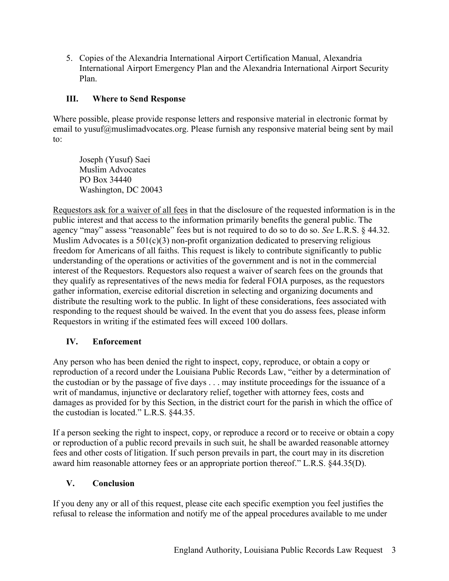5. Copies of the Alexandria International Airport Certification Manual, Alexandria International Airport Emergency Plan and the Alexandria International Airport Security Plan.

# **III. Where to Send Response**

Where possible, please provide response letters and responsive material in electronic format by email to yusuf@muslimadvocates.org. Please furnish any responsive material being sent by mail to:

Joseph (Yusuf) Saei Muslim Advocates PO Box 34440 Washington, DC 20043

Requestors ask for a waiver of all fees in that the disclosure of the requested information is in the public interest and that access to the information primarily benefits the general public. The agency "may" assess "reasonable" fees but is not required to do so to do so. *See* L.R.S. § 44.32. Muslim Advocates is a  $501(c)(3)$  non-profit organization dedicated to preserving religious freedom for Americans of all faiths. This request is likely to contribute significantly to public understanding of the operations or activities of the government and is not in the commercial interest of the Requestors. Requestors also request a waiver of search fees on the grounds that they qualify as representatives of the news media for federal FOIA purposes, as the requestors gather information, exercise editorial discretion in selecting and organizing documents and distribute the resulting work to the public. In light of these considerations, fees associated with responding to the request should be waived. In the event that you do assess fees, please inform Requestors in writing if the estimated fees will exceed 100 dollars.

# **IV. Enforcement**

Any person who has been denied the right to inspect, copy, reproduce, or obtain a copy or reproduction of a record under the Louisiana Public Records Law, "either by a determination of the custodian or by the passage of five days . . . may institute proceedings for the issuance of a writ of mandamus, injunctive or declaratory relief, together with attorney fees, costs and damages as provided for by this Section, in the district court for the parish in which the office of the custodian is located." L.R.S. §44.35.

If a person seeking the right to inspect, copy, or reproduce a record or to receive or obtain a copy or reproduction of a public record prevails in such suit, he shall be awarded reasonable attorney fees and other costs of litigation. If such person prevails in part, the court may in its discretion award him reasonable attorney fees or an appropriate portion thereof." L.R.S. §44.35(D).

## **V. Conclusion**

If you deny any or all of this request, please cite each specific exemption you feel justifies the refusal to release the information and notify me of the appeal procedures available to me under